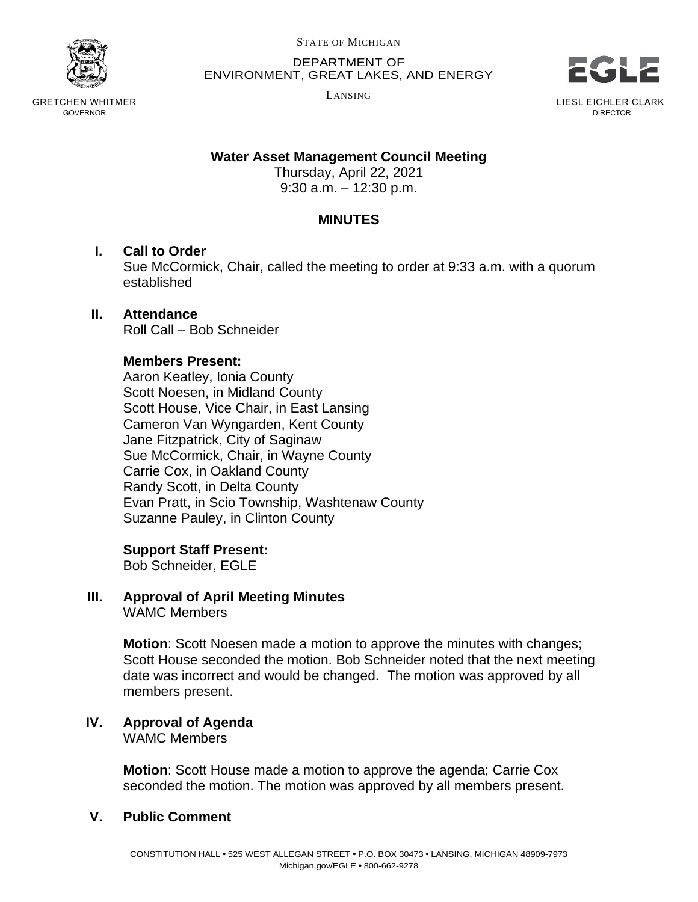

GRETCHEN WHITMER GOVERNOR

STATE OF MICHIGAN

DEPARTMENT OF ENVIRONMENT, GREAT LAKES, AND ENERGY

LANSING



LIESL EICHLER CLARK DIRECTOR

#### **Water Asset Management Council Meeting**

Thursday, April 22, 2021 9:30 a.m. – 12:30 p.m.

## **MINUTES**

#### **I. Call to Order**

Sue McCormick, Chair, called the meeting to order at 9:33 a.m. with a quorum established

#### **II. Attendance**

Roll Call – Bob Schneider

#### **Members Present:**

Aaron Keatley, Ionia County Scott Noesen, in Midland County Scott House, Vice Chair, in East Lansing Cameron Van Wyngarden, Kent County Jane Fitzpatrick, City of Saginaw Sue McCormick, Chair, in Wayne County Carrie Cox, in Oakland County Randy Scott, in Delta County Evan Pratt, in Scio Township, Washtenaw County Suzanne Pauley, in Clinton County

#### **Support Staff Present:**

Bob Schneider, EGLE

# **III. Approval of April Meeting Minutes**

WAMC Members

**Motion**: Scott Noesen made a motion to approve the minutes with changes; Scott House seconded the motion. Bob Schneider noted that the next meeting date was incorrect and would be changed. The motion was approved by all members present.

#### **IV. Approval of Agenda** WAMC Members

**Motion**: Scott House made a motion to approve the agenda; Carrie Cox seconded the motion. The motion was approved by all members present.

## **V. Public Comment**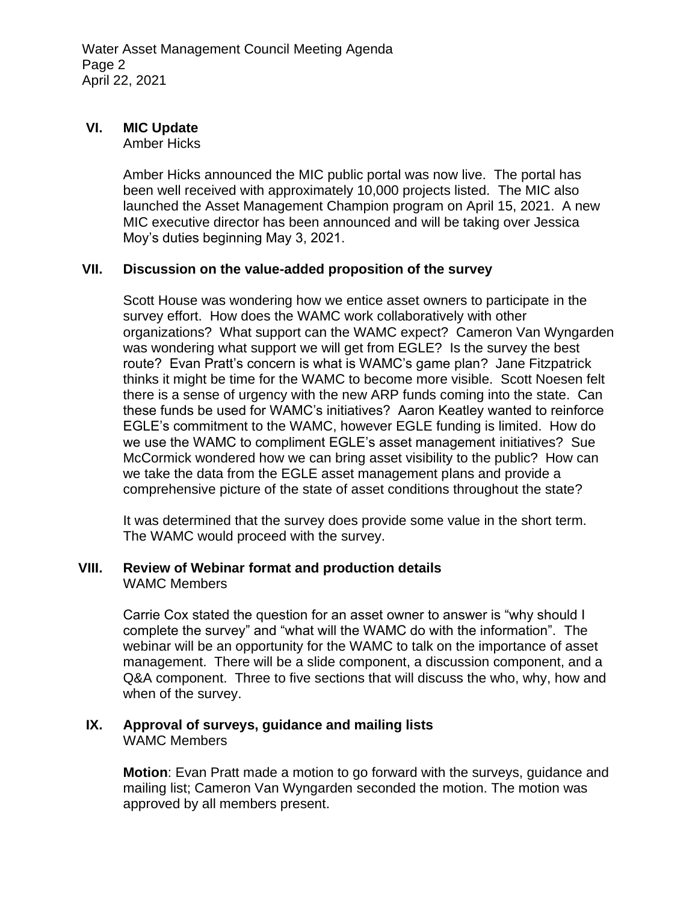## **VI. MIC Update**

Amber Hicks

Amber Hicks announced the MIC public portal was now live. The portal has been well received with approximately 10,000 projects listed. The MIC also launched the Asset Management Champion program on April 15, 2021. A new MIC executive director has been announced and will be taking over Jessica Moy's duties beginning May 3, 2021.

#### **VII. Discussion on the value-added proposition of the survey**

Scott House was wondering how we entice asset owners to participate in the survey effort. How does the WAMC work collaboratively with other organizations? What support can the WAMC expect? Cameron Van Wyngarden was wondering what support we will get from EGLE? Is the survey the best route? Evan Pratt's concern is what is WAMC's game plan? Jane Fitzpatrick thinks it might be time for the WAMC to become more visible. Scott Noesen felt there is a sense of urgency with the new ARP funds coming into the state. Can these funds be used for WAMC's initiatives? Aaron Keatley wanted to reinforce EGLE's commitment to the WAMC, however EGLE funding is limited. How do we use the WAMC to compliment EGLE's asset management initiatives? Sue McCormick wondered how we can bring asset visibility to the public? How can we take the data from the EGLE asset management plans and provide a comprehensive picture of the state of asset conditions throughout the state?

It was determined that the survey does provide some value in the short term. The WAMC would proceed with the survey.

#### **VIII. Review of Webinar format and production details** WAMC Members

Carrie Cox stated the question for an asset owner to answer is "why should I complete the survey" and "what will the WAMC do with the information". The webinar will be an opportunity for the WAMC to talk on the importance of asset management. There will be a slide component, a discussion component, and a Q&A component. Three to five sections that will discuss the who, why, how and when of the survey.

#### **IX. Approval of surveys, guidance and mailing lists** WAMC Members

**Motion**: Evan Pratt made a motion to go forward with the surveys, guidance and mailing list; Cameron Van Wyngarden seconded the motion. The motion was approved by all members present.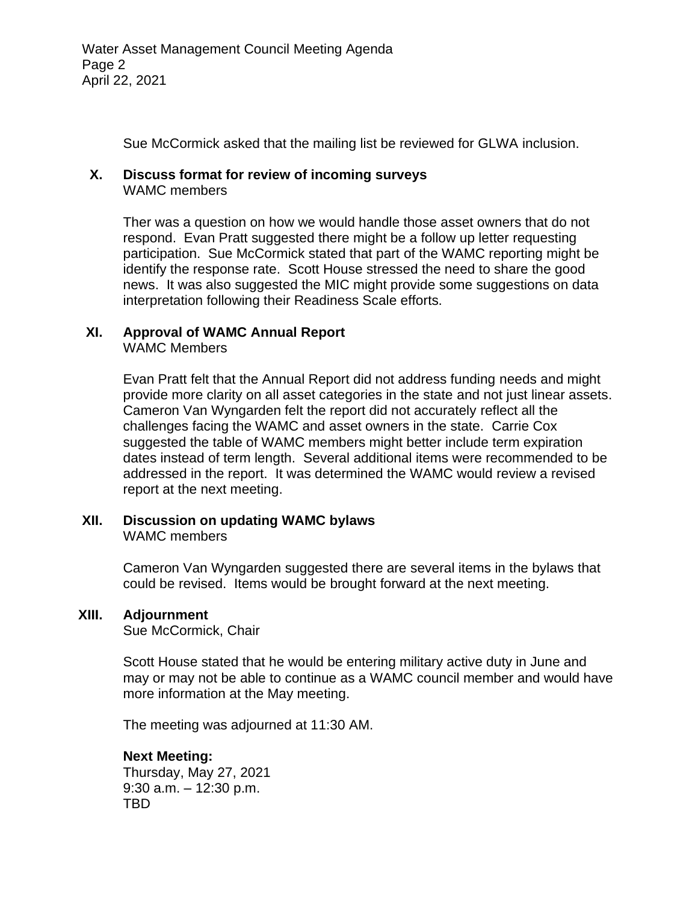Sue McCormick asked that the mailing list be reviewed for GLWA inclusion.

#### **X. Discuss format for review of incoming surveys**

WAMC members

Ther was a question on how we would handle those asset owners that do not respond. Evan Pratt suggested there might be a follow up letter requesting participation. Sue McCormick stated that part of the WAMC reporting might be identify the response rate. Scott House stressed the need to share the good news. It was also suggested the MIC might provide some suggestions on data interpretation following their Readiness Scale efforts.

# **XI. Approval of WAMC Annual Report**

WAMC Members

Evan Pratt felt that the Annual Report did not address funding needs and might provide more clarity on all asset categories in the state and not just linear assets. Cameron Van Wyngarden felt the report did not accurately reflect all the challenges facing the WAMC and asset owners in the state. Carrie Cox suggested the table of WAMC members might better include term expiration dates instead of term length. Several additional items were recommended to be addressed in the report. It was determined the WAMC would review a revised report at the next meeting.

## **XII. Discussion on updating WAMC bylaws**

WAMC members

Cameron Van Wyngarden suggested there are several items in the bylaws that could be revised. Items would be brought forward at the next meeting.

#### **XIII. Adjournment**

Sue McCormick, Chair

Scott House stated that he would be entering military active duty in June and may or may not be able to continue as a WAMC council member and would have more information at the May meeting.

The meeting was adjourned at 11:30 AM.

#### **Next Meeting:**

Thursday, May 27, 2021 9:30 a.m. – 12:30 p.m. TBD